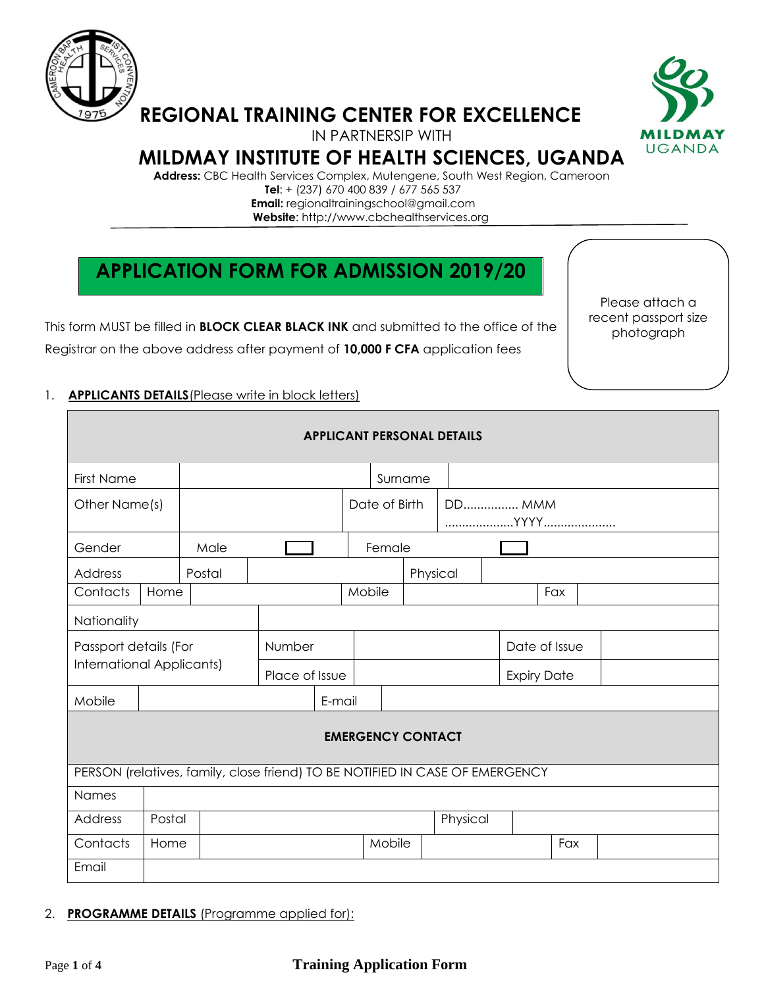

# **REGIONAL TRAINING CENTER FOR EXCELLENCE**



IN PARTNERSIP WITH

# **MILDMAY INSTITUTE OF HEALTH SCIENCES, UGANDA**

**Address:** CBC Health Services Complex, Mutengene, South West Region, Cameroon  **Tel**: + (237) 670 400 839 / 677 565 537  **Email:** regionaltrainingschool@gmail.com **Website**: http://www.cbchealthservices.org

# **APPLICATION FORM FOR ADMISSION 2019/20**

This form MUST be filled in **BLOCK CLEAR BLACK INK** and submitted to the office of the Registrar on the above address after payment of **10,000 F CFA** application fees

Please attach a recent passport size photograph

## 1. **APPLICANTS DETAILS**(Please write in block letters)

| <b>APPLICANT PERSONAL DETAILS</b>                                            |        |        |                |        |                                |          |          |                    |     |  |  |
|------------------------------------------------------------------------------|--------|--------|----------------|--------|--------------------------------|----------|----------|--------------------|-----|--|--|
| First Name                                                                   |        |        |                |        |                                | Surname  |          |                    |     |  |  |
| Other Name(s)                                                                |        |        |                |        | <b>DD MMM</b><br>Date of Birth |          |          |                    |     |  |  |
| Gender                                                                       |        | Male   |                |        | Female                         |          |          |                    |     |  |  |
| Address                                                                      |        | Postal |                |        |                                | Physical |          |                    |     |  |  |
| Contacts                                                                     | Home   |        |                |        | Mobile                         |          |          |                    | Fax |  |  |
| Nationality                                                                  |        |        |                |        |                                |          |          |                    |     |  |  |
| Passport details (For                                                        |        |        | Number         |        |                                |          |          | Date of Issue      |     |  |  |
| International Applicants)                                                    |        |        | Place of Issue |        |                                |          |          | <b>Expiry Date</b> |     |  |  |
| Mobile                                                                       |        |        |                | E-mail |                                |          |          |                    |     |  |  |
| <b>EMERGENCY CONTACT</b>                                                     |        |        |                |        |                                |          |          |                    |     |  |  |
| PERSON (relatives, family, close friend) TO BE NOTIFIED IN CASE OF EMERGENCY |        |        |                |        |                                |          |          |                    |     |  |  |
| Names                                                                        |        |        |                |        |                                |          |          |                    |     |  |  |
| Address                                                                      | Postal |        |                |        |                                |          | Physical |                    |     |  |  |
| Contacts                                                                     | Home   |        |                |        | Mobile                         |          |          |                    | Fax |  |  |
| Email                                                                        |        |        |                |        |                                |          |          |                    |     |  |  |

### 2. **PROGRAMME DETAILS** (Programme applied for):

## Page **1** of **4 Training Application Form**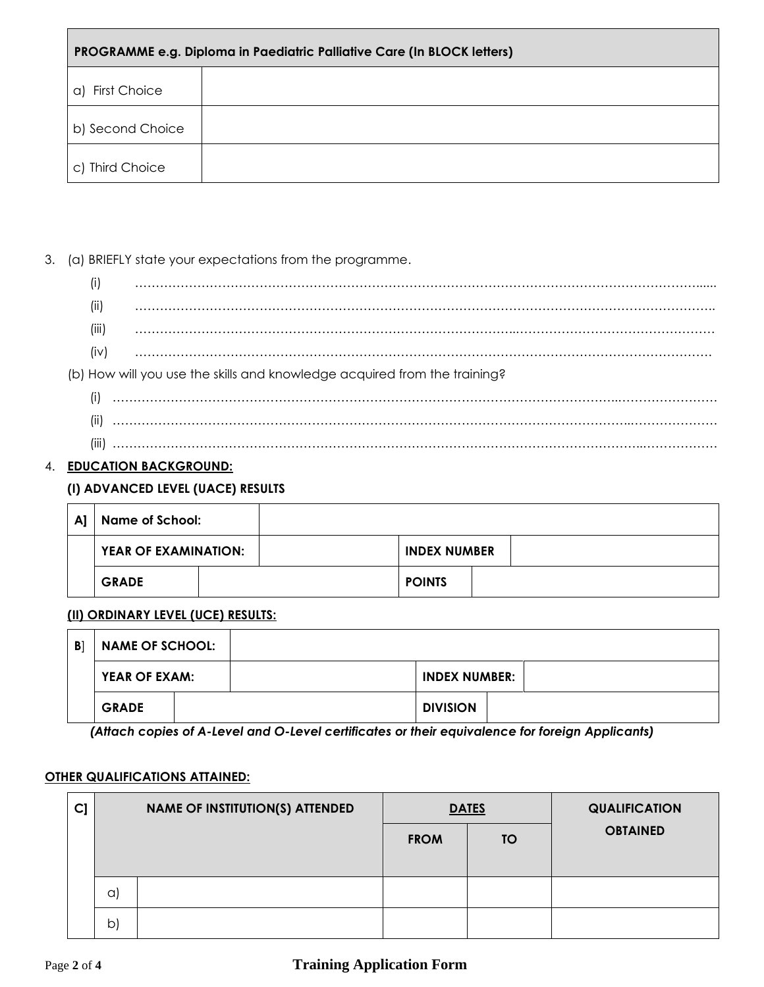| PROGRAMME e.g. Diploma in Paediatric Palliative Care (In BLOCK letters) |  |  |  |  |
|-------------------------------------------------------------------------|--|--|--|--|
| a) First Choice                                                         |  |  |  |  |
| b) Second Choice                                                        |  |  |  |  |
| c) Third Choice                                                         |  |  |  |  |

3. (a) BRIEFLY state your expectations from the programme.

- (i) ………………………………………………………………………………………………………………………...... (ii) ………………………………………………………………………………………………………………………….. (iii) ………………………………………………………………………………..………………………………………… (iv) …………………………………………………………………………………………………………………………. (b) How will you use the skills and knowledge acquired from the training? (i) …………………………………………………………………………………………………………..……………………
	- (ii) ……………………………………………………………………………………………………………..………………… (iii) ………………………………………………………………………………………………………………..………………

## 4. **EDUCATION BACKGROUND:**

## **(I) ADVANCED LEVEL (UACE) RESULTS**

| $\mathsf{A}$ | Name of School:      |  |                     |  |
|--------------|----------------------|--|---------------------|--|
|              | YEAR OF EXAMINATION: |  | <b>INDEX NUMBER</b> |  |
|              | <b>GRADE</b>         |  | <b>POINTS</b>       |  |

### **(II) ORDINARY LEVEL (UCE) RESULTS:**

| B <sub>1</sub> | <b>NAME OF SCHOOL:</b> |  |                      |  |
|----------------|------------------------|--|----------------------|--|
|                | YEAR OF EXAM:          |  | <b>INDEX NUMBER:</b> |  |
|                | <b>GRADE</b>           |  | <b>DIVISION</b>      |  |

*(Attach copies of A-Level and O-Level certificates or their equivalence for foreign Applicants)*

### **OTHER QUALIFICATIONS ATTAINED:**

| $C$ ] | <b>NAME OF INSTITUTION(S) ATTENDED</b> |  |             | <b>DATES</b> | <b>QUALIFICATION</b> |
|-------|----------------------------------------|--|-------------|--------------|----------------------|
|       |                                        |  | <b>FROM</b> | <b>TO</b>    | <b>OBTAINED</b>      |
|       |                                        |  |             |              |                      |
|       | $\alpha$                               |  |             |              |                      |
|       | b                                      |  |             |              |                      |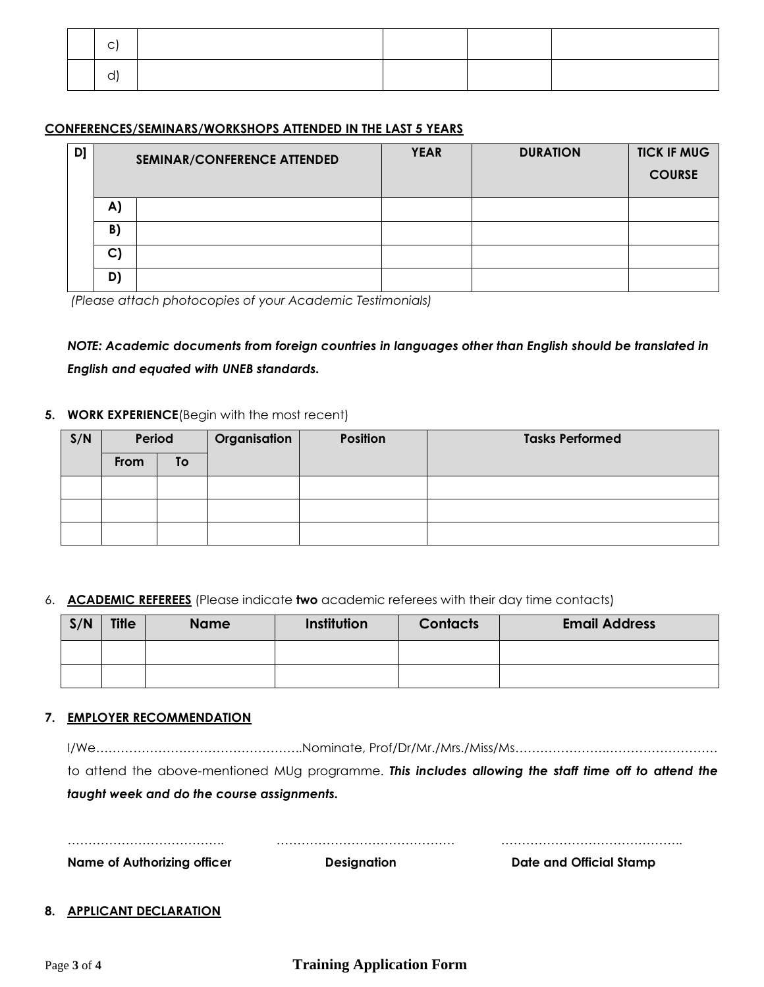#### **CONFERENCES/SEMINARS/WORKSHOPS ATTENDED IN THE LAST 5 YEARS**

| D) | SEMINAR/CONFERENCE ATTENDED |  | <b>YEAR</b> | <b>DURATION</b> | <b>TICK IF MUG</b><br><b>COURSE</b> |
|----|-----------------------------|--|-------------|-----------------|-------------------------------------|
|    | $\mathbf{A}$                |  |             |                 |                                     |
|    | B)                          |  |             |                 |                                     |
|    | $\mathsf{C}$                |  |             |                 |                                     |
|    | D)                          |  |             |                 |                                     |

*(Please attach photocopies of your Academic Testimonials)*

*NOTE: Academic documents from foreign countries in languages other than English should be translated in English and equated with UNEB standards.*

#### **5. WORK EXPERIENCE**(Begin with the most recent)

| S/N | Period |           | <b>Organisation</b> | <b>Position</b> | <b>Tasks Performed</b> |
|-----|--------|-----------|---------------------|-----------------|------------------------|
|     | From   | <b>To</b> |                     |                 |                        |
|     |        |           |                     |                 |                        |
|     |        |           |                     |                 |                        |
|     |        |           |                     |                 |                        |

#### 6. **ACADEMIC REFEREES** (Please indicate **two** academic referees with their day time contacts)

| S/N | <b>Title</b> | <b>Name</b> | Institution | <b>Contacts</b> | <b>Email Address</b> |
|-----|--------------|-------------|-------------|-----------------|----------------------|
|     |              |             |             |                 |                      |
|     |              |             |             |                 |                      |

#### **7. EMPLOYER RECOMMENDATION**

|                                            |                    | <u>I/We……………………………………………Nominate, Prof/Dr/Mr./Mrs./Miss/Ms………………………………………………</u>                     |
|--------------------------------------------|--------------------|------------------------------------------------------------------------------------------------------|
|                                            |                    | to attend the above-mentioned MUg programme. This includes allowing the staff time off to attend the |
| taught week and do the course assignments. |                    |                                                                                                      |
|                                            |                    |                                                                                                      |
|                                            |                    |                                                                                                      |
| Name of Authorizing officer                | <b>Designation</b> | Date and Official Stamp                                                                              |
|                                            |                    |                                                                                                      |
| 8. APPLICANT DECLARATION                   |                    |                                                                                                      |
|                                            |                    |                                                                                                      |